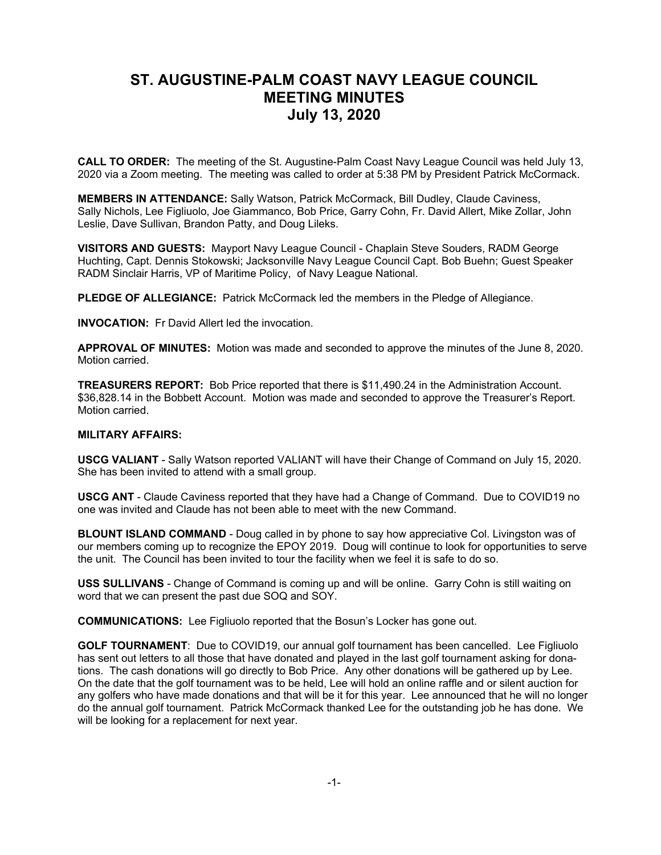## **ST. AUGUSTINE-PALM COAST NAVY LEAGUE COUNCIL MEETING MINUTES July 13, 2020**

**CALL TO ORDER:** The meeting of the St. Augustine-Palm Coast Navy League Council was held July 13, 2020 via a Zoom meeting. The meeting was called to order at 5:38 PM by President Patrick McCormack.

**MEMBERS IN ATTENDANCE:** Sally Watson, Patrick McCormack, Bill Dudley, Claude Caviness, Sally Nichols, Lee Figliuolo, Joe Giammanco, Bob Price, Garry Cohn, Fr. David Allert, Mike Zollar, John Leslie, Dave Sullivan, Brandon Patty, and Doug Lileks.

**VISITORS AND GUESTS:** Mayport Navy League Council - Chaplain Steve Souders, RADM George Huchting, Capt. Dennis Stokowski; Jacksonville Navy League Council Capt. Bob Buehn; Guest Speaker RADM Sinclair Harris, VP of Maritime Policy, of Navy League National.

**PLEDGE OF ALLEGIANCE:** Patrick McCormack led the members in the Pledge of Allegiance.

**INVOCATION:** Fr David Allert led the invocation.

**APPROVAL OF MINUTES:** Motion was made and seconded to approve the minutes of the June 8, 2020. Motion carried.

**TREASURERS REPORT:** Bob Price reported that there is \$11,490.24 in the Administration Account. \$36,828.14 in the Bobbett Account. Motion was made and seconded to approve the Treasurer's Report. Motion carried.

## **MILITARY AFFAIRS:**

**USCG VALIANT** - Sally Watson reported VALIANT will have their Change of Command on July 15, 2020. She has been invited to attend with a small group.

**USCG ANT** - Claude Caviness reported that they have had a Change of Command. Due to COVID19 no one was invited and Claude has not been able to meet with the new Command.

**BLOUNT ISLAND COMMAND** - Doug called in by phone to say how appreciative Col. Livingston was of our members coming up to recognize the EPOY 2019. Doug will continue to look for opportunities to serve the unit. The Council has been invited to tour the facility when we feel it is safe to do so.

**USS SULLIVANS** - Change of Command is coming up and will be online. Garry Cohn is still waiting on word that we can present the past due SOQ and SOY.

**COMMUNICATIONS:** Lee Figliuolo reported that the Bosun's Locker has gone out.

**GOLF TOURNAMENT**: Due to COVID19, our annual golf tournament has been cancelled. Lee Figliuolo has sent out letters to all those that have donated and played in the last golf tournament asking for donations. The cash donations will go directly to Bob Price. Any other donations will be gathered up by Lee. On the date that the golf tournament was to be held, Lee will hold an online raffle and or silent auction for any golfers who have made donations and that will be it for this year. Lee announced that he will no longer do the annual golf tournament. Patrick McCormack thanked Lee for the outstanding job he has done. We will be looking for a replacement for next year.